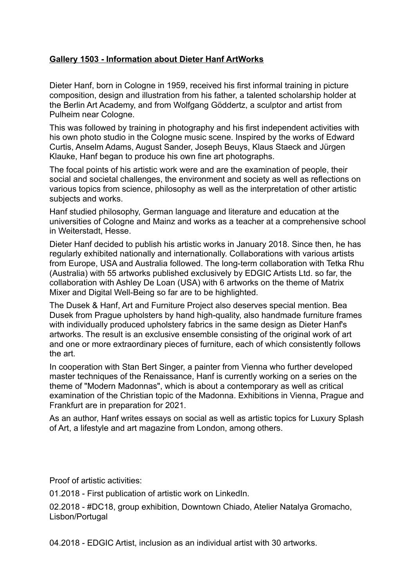## **Gallery 1503 - Information about Dieter Hanf ArtWorks**

Dieter Hanf, born in Cologne in 1959, received his first informal training in picture composition, design and illustration from his father, a talented scholarship holder at the Berlin Art Academy, and from Wolfgang Göddertz, a sculptor and artist from Pulheim near Cologne.

This was followed by training in photography and his first independent activities with his own photo studio in the Cologne music scene. Inspired by the works of Edward Curtis, Anselm Adams, August Sander, Joseph Beuys, Klaus Staeck and Jürgen Klauke, Hanf began to produce his own fine art photographs.

The focal points of his artistic work were and are the examination of people, their social and societal challenges, the environment and society as well as reflections on various topics from science, philosophy as well as the interpretation of other artistic subjects and works.

Hanf studied philosophy, German language and literature and education at the universities of Cologne and Mainz and works as a teacher at a comprehensive school in Weiterstadt, Hesse.

Dieter Hanf decided to publish his artistic works in January 2018. Since then, he has regularly exhibited nationally and internationally. Collaborations with various artists from Europe, USA and Australia followed. The long-term collaboration with Tetka Rhu (Australia) with 55 artworks published exclusively by EDGIC Artists Ltd. so far, the collaboration with Ashley De Loan (USA) with 6 artworks on the theme of Matrix Mixer and Digital Well-Being so far are to be highlighted.

The Dusek & Hanf, Art and Furniture Project also deserves special mention. Bea Dusek from Prague upholsters by hand high-quality, also handmade furniture frames with individually produced upholstery fabrics in the same design as Dieter Hanf's artworks. The result is an exclusive ensemble consisting of the original work of art and one or more extraordinary pieces of furniture, each of which consistently follows the art.

In cooperation with Stan Bert Singer, a painter from Vienna who further developed master techniques of the Renaissance, Hanf is currently working on a series on the theme of "Modern Madonnas", which is about a contemporary as well as critical examination of the Christian topic of the Madonna. Exhibitions in Vienna, Prague and Frankfurt are in preparation for 2021.

As an author, Hanf writes essays on social as well as artistic topics for Luxury Splash of Art, a lifestyle and art magazine from London, among others.

Proof of artistic activities:

01.2018 - First publication of artistic work on LinkedIn.

02.2018 - #DC18, group exhibition, Downtown Chiado, Atelier Natalya Gromacho, Lisbon/Portugal

04.2018 - EDGIC Artist, inclusion as an individual artist with 30 artworks.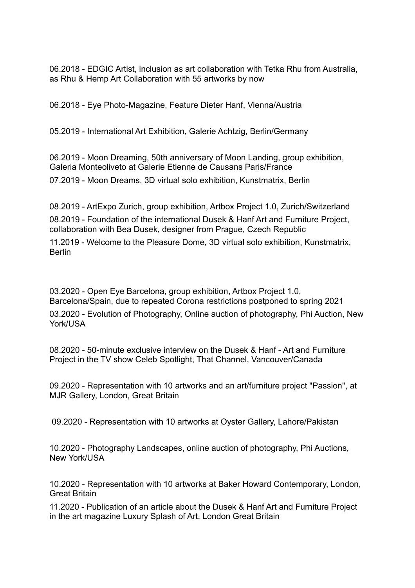06.2018 - EDGIC Artist, inclusion as art collaboration with Tetka Rhu from Australia, as Rhu & Hemp Art Collaboration with 55 artworks by now

06.2018 - Eye Photo-Magazine, Feature Dieter Hanf, Vienna/Austria

05.2019 - International Art Exhibition, Galerie Achtzig, Berlin/Germany

06.2019 - Moon Dreaming, 50th anniversary of Moon Landing, group exhibition, Galeria Monteoliveto at Galerie Etienne de Causans Paris/France

07.2019 - Moon Dreams, 3D virtual solo exhibition, Kunstmatrix, Berlin

08.2019 - ArtExpo Zurich, group exhibition, Artbox Project 1.0, Zurich/Switzerland

08.2019 - Foundation of the international Dusek & Hanf Art and Furniture Project, collaboration with Bea Dusek, designer from Prague, Czech Republic

11.2019 - Welcome to the Pleasure Dome, 3D virtual solo exhibition, Kunstmatrix, Berlin

03.2020 - Open Eye Barcelona, group exhibition, Artbox Project 1.0, Barcelona/Spain, due to repeated Corona restrictions postponed to spring 2021

03.2020 - Evolution of Photography, Online auction of photography, Phi Auction, New York/USA

08.2020 - 50-minute exclusive interview on the Dusek & Hanf - Art and Furniture Project in the TV show Celeb Spotlight, That Channel, Vancouver/Canada

09.2020 - Representation with 10 artworks and an art/furniture project "Passion", at MJR Gallery, London, Great Britain

09.2020 - Representation with 10 artworks at Oyster Gallery, Lahore/Pakistan

10.2020 - Photography Landscapes, online auction of photography, Phi Auctions, New York/USA

10.2020 - Representation with 10 artworks at Baker Howard Contemporary, London, Great Britain

11.2020 - Publication of an article about the Dusek & Hanf Art and Furniture Project in the art magazine Luxury Splash of Art, London Great Britain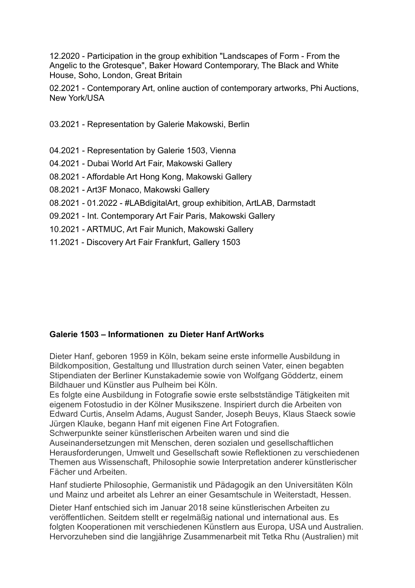12.2020 - Participation in the group exhibition "Landscapes of Form - From the Angelic to the Grotesque", Baker Howard Contemporary, The Black and White House, Soho, London, Great Britain

02.2021 - Contemporary Art, online auction of contemporary artworks, Phi Auctions, New York/USA

03.2021 - Representation by Galerie Makowski, Berlin

- 04.2021 Representation by Galerie 1503, Vienna
- 04.2021 Dubai World Art Fair, Makowski Gallery
- 08.2021 Affordable Art Hong Kong, Makowski Gallery
- 08.2021 Art3F Monaco, Makowski Gallery
- 08.2021 01.2022 #LABdigitalArt, group exhibition, ArtLAB, Darmstadt
- 09.2021 Int. Contemporary Art Fair Paris, Makowski Gallery
- 10.2021 ARTMUC, Art Fair Munich, Makowski Gallery
- 11.2021 Discovery Art Fair Frankfurt, Gallery 1503

## **Galerie 1503 – Informationen zu Dieter Hanf ArtWorks**

Dieter Hanf, geboren 1959 in Köln, bekam seine erste informelle Ausbildung in Bildkomposition, Gestaltung und Illustration durch seinen Vater, einen begabten Stipendiaten der Berliner Kunstakademie sowie von Wolfgang Göddertz, einem Bildhauer und Künstler aus Pulheim bei Köln.

Es folgte eine Ausbildung in Fotografie sowie erste selbstständige Tätigkeiten mit eigenem Fotostudio in der Kölner Musikszene. Inspiriert durch die Arbeiten von Edward Curtis, Anselm Adams, August Sander, Joseph Beuys, Klaus Staeck sowie Jürgen Klauke, begann Hanf mit eigenen Fine Art Fotografien.

Schwerpunkte seiner künstlerischen Arbeiten waren und sind die Auseinandersetzungen mit Menschen, deren sozialen und gesellschaftlichen Herausforderungen, Umwelt und Gesellschaft sowie Reflektionen zu verschiedenen Themen aus Wissenschaft, Philosophie sowie Interpretation anderer künstlerischer Fächer und Arbeiten.

Hanf studierte Philosophie, Germanistik und Pädagogik an den Universitäten Köln und Mainz und arbeitet als Lehrer an einer Gesamtschule in Weiterstadt, Hessen.

Dieter Hanf entschied sich im Januar 2018 seine künstlerischen Arbeiten zu veröffentlichen. Seitdem stellt er regelmäßig national und international aus. Es folgten Kooperationen mit verschiedenen Künstlern aus Europa, USA und Australien. Hervorzuheben sind die langjährige Zusammenarbeit mit Tetka Rhu (Australien) mit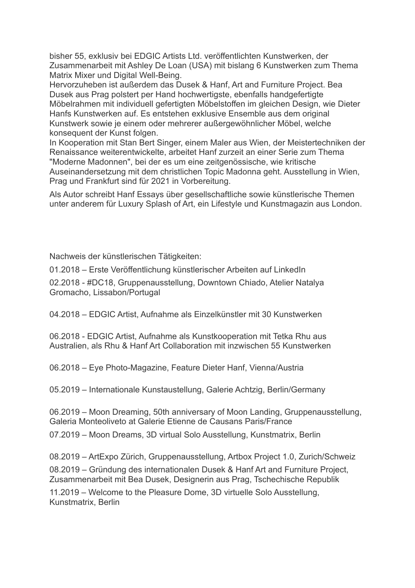bisher 55, exklusiv bei EDGIC Artists Ltd. veröffentlichten Kunstwerken, der Zusammenarbeit mit Ashley De Loan (USA) mit bislang 6 Kunstwerken zum Thema Matrix Mixer und Digital Well-Being.

Hervorzuheben ist außerdem das Dusek & Hanf, Art and Furniture Project. Bea Dusek aus Prag polstert per Hand hochwertigste, ebenfalls handgefertigte Möbelrahmen mit individuell gefertigten Möbelstoffen im gleichen Design, wie Dieter Hanfs Kunstwerken auf. Es entstehen exklusive Ensemble aus dem original Kunstwerk sowie je einem oder mehrerer außergewöhnlicher Möbel, welche konsequent der Kunst folgen.

In Kooperation mit Stan Bert Singer, einem Maler aus Wien, der Meistertechniken der Renaissance weiterentwickelte, arbeitet Hanf zurzeit an einer Serie zum Thema "Moderne Madonnen", bei der es um eine zeitgenössische, wie kritische Auseinandersetzung mit dem christlichen Topic Madonna geht. Ausstellung in Wien, Prag und Frankfurt sind für 2021 in Vorbereitung.

Als Autor schreibt Hanf Essays über gesellschaftliche sowie künstlerische Themen unter anderem für Luxury Splash of Art, ein Lifestyle und Kunstmagazin aus London.

Nachweis der künstlerischen Tätigkeiten:

01.2018 – Erste Veröffentlichung künstlerischer Arbeiten auf LinkedIn

02.2018 - #DC18, Gruppenausstellung, Downtown Chiado, Atelier Natalya Gromacho, Lissabon/Portugal

04.2018 – EDGIC Artist, Aufnahme als Einzelkünstler mit 30 Kunstwerken

06.2018 - EDGIC Artist, Aufnahme als Kunstkooperation mit Tetka Rhu aus Australien, als Rhu & Hanf Art Collaboration mit inzwischen 55 Kunstwerken

06.2018 – Eye Photo-Magazine, Feature Dieter Hanf, Vienna/Austria

05.2019 – Internationale Kunstaustellung, Galerie Achtzig, Berlin/Germany

06.2019 – Moon Dreaming, 50th anniversary of Moon Landing, Gruppenausstellung, Galeria Monteoliveto at Galerie Etienne de Causans Paris/France

07.2019 – Moon Dreams, 3D virtual Solo Ausstellung, Kunstmatrix, Berlin

08.2019 – ArtExpo Zürich, Gruppenausstellung, Artbox Project 1.0, Zurich/Schweiz

08.2019 – Gründung des internationalen Dusek & Hanf Art and Furniture Project, Zusammenarbeit mit Bea Dusek, Designerin aus Prag, Tschechische Republik

11.2019 – Welcome to the Pleasure Dome, 3D virtuelle Solo Ausstellung, Kunstmatrix, Berlin